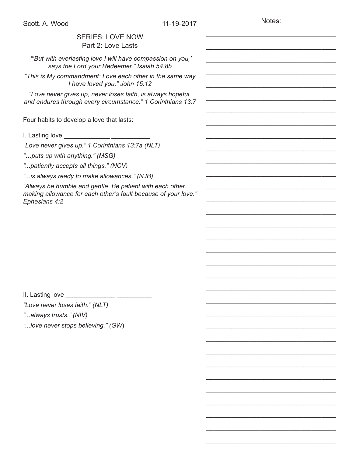Notes:

\_\_\_\_\_\_\_\_\_\_\_\_\_\_\_\_\_\_\_\_\_\_\_\_\_\_\_\_\_\_\_\_\_\_\_\_

\_\_\_\_\_\_\_\_\_\_\_\_\_\_\_\_\_\_\_\_\_\_\_\_\_\_\_\_\_\_\_\_\_\_\_\_

\_\_\_\_\_\_\_\_\_\_\_\_\_\_\_\_\_\_\_\_\_\_\_\_\_\_\_\_\_\_\_\_\_\_\_\_

\_\_\_\_\_\_\_\_\_\_\_\_\_\_\_\_\_\_\_\_\_\_\_\_\_\_\_\_\_\_\_\_\_\_\_\_

\_\_\_\_\_\_\_\_\_\_\_\_\_\_\_\_\_\_\_\_\_\_\_\_\_\_\_\_\_\_\_\_\_\_\_\_

\_\_\_\_\_\_\_\_\_\_\_\_\_\_\_\_\_\_\_\_\_\_\_\_\_\_\_\_\_\_\_\_\_\_\_\_

\_\_\_\_\_\_\_\_\_\_\_\_\_\_\_\_\_\_\_\_\_\_\_\_\_\_\_\_\_\_\_\_\_\_\_\_

\_\_\_\_\_\_\_\_\_\_\_\_\_\_\_\_\_\_\_\_\_\_\_\_\_\_\_\_\_\_\_\_\_\_\_\_

\_\_\_\_\_\_\_\_\_\_\_\_\_\_\_\_\_\_\_\_\_\_\_\_\_\_\_\_\_\_\_\_\_\_\_\_

\_\_\_\_\_\_\_\_\_\_\_\_\_\_\_\_\_\_\_\_\_\_\_\_\_\_\_\_\_\_\_\_\_\_\_\_

\_\_\_\_\_\_\_\_\_\_\_\_\_\_\_\_\_\_\_\_\_\_\_\_\_\_\_\_\_\_\_\_\_\_\_\_

\_\_\_\_\_\_\_\_\_\_\_\_\_\_\_\_\_\_\_\_\_\_\_\_\_\_\_\_\_\_\_\_\_\_\_\_

\_\_\_\_\_\_\_\_\_\_\_\_\_\_\_\_\_\_\_\_\_\_\_\_\_\_\_\_\_\_\_\_\_\_\_\_

\_\_\_\_\_\_\_\_\_\_\_\_\_\_\_\_\_\_\_\_\_\_\_\_\_\_\_\_\_\_\_\_\_\_\_\_

\_\_\_\_\_\_\_\_\_\_\_\_\_\_\_\_\_\_\_\_\_\_\_\_\_\_\_\_\_\_\_\_\_\_\_\_

\_\_\_\_\_\_\_\_\_\_\_\_\_\_\_\_\_\_\_\_\_\_\_\_\_\_\_\_\_\_\_\_\_\_\_\_

\_\_\_\_\_\_\_\_\_\_\_\_\_\_\_\_\_\_\_\_\_\_\_\_\_\_\_\_\_\_\_\_\_\_\_\_

\_\_\_\_\_\_\_\_\_\_\_\_\_\_\_\_\_\_\_\_\_\_\_\_\_\_\_\_\_\_\_\_\_\_\_\_

\_\_\_\_\_\_\_\_\_\_\_\_\_\_\_\_\_\_\_\_\_\_\_\_\_\_\_\_\_\_\_\_\_\_\_\_

\_\_\_\_\_\_\_\_\_\_\_\_\_\_\_\_\_\_\_\_\_\_\_\_\_\_\_\_\_\_\_\_\_\_\_\_

\_\_\_\_\_\_\_\_\_\_\_\_\_\_\_\_\_\_\_\_\_\_\_\_\_\_\_\_\_\_\_\_\_\_\_\_

\_\_\_\_\_\_\_\_\_\_\_\_\_\_\_\_\_\_\_\_\_\_\_\_\_\_\_\_\_\_\_\_\_\_\_\_

\_\_\_\_\_\_\_\_\_\_\_\_\_\_\_\_\_\_\_\_\_\_\_\_\_\_\_\_\_\_\_\_\_\_\_\_

\_\_\_\_\_\_\_\_\_\_\_\_\_\_\_\_\_\_\_\_\_\_\_\_\_\_\_\_\_\_\_\_\_\_\_\_

\_\_\_\_\_\_\_\_\_\_\_\_\_\_\_\_\_\_\_\_\_\_\_\_\_\_\_\_\_\_\_\_\_\_\_\_

\_\_\_\_\_\_\_\_\_\_\_\_\_\_\_\_\_\_\_\_\_\_\_\_\_\_\_\_\_\_\_\_\_\_\_\_

\_\_\_\_\_\_\_\_\_\_\_\_\_\_\_\_\_\_\_\_\_\_\_\_\_\_\_\_\_\_\_\_\_\_\_\_

\_\_\_\_\_\_\_\_\_\_\_\_\_\_\_\_\_\_\_\_\_\_\_\_\_\_\_\_\_\_\_\_\_\_\_\_

\_\_\_\_\_\_\_\_\_\_\_\_\_\_\_\_\_\_\_\_\_\_\_\_\_\_\_\_\_\_\_\_\_\_\_\_

\_\_\_\_\_\_\_\_\_\_\_\_\_\_\_\_\_\_\_\_\_\_\_\_\_\_\_\_\_\_\_\_\_\_\_\_

\_\_\_\_\_\_\_\_\_\_\_\_\_\_\_\_\_\_\_\_\_\_\_\_\_\_\_\_\_\_\_\_\_\_\_\_

\_\_\_\_\_\_\_\_\_\_\_\_\_\_\_\_\_\_\_\_\_\_\_\_\_\_\_\_\_\_\_\_\_\_\_\_

\_\_\_\_\_\_\_\_\_\_\_\_\_\_\_\_\_\_\_\_\_\_\_\_\_\_\_\_\_\_\_\_\_\_\_\_

## SERIES: LOVE NOW Part 2: Love Lasts

 *"'But with everlasting love I will have compassion on you,' says the Lord your Redeemer." Isaiah 54:8b*

*"This is My commandment: Love each other in the same way I have loved you." John 15:12* 

*"Love never gives up, never loses faith, is always hopeful, and endures through every circumstance." 1 Corinthians 13:7*

Four habits to develop a love that lasts:

I. Lasting love \_\_\_\_\_\_\_\_\_\_\_\_\_ \_\_\_\_\_\_\_\_\_\_\_

*"Love never gives up." 1 Corinthians 13:7a (NLT)*

*"…puts up with anything." (MSG)*

*"...patiently accepts all things." (NCV)*

*"...is always ready to make allowances." (NJB)*

*"Always be humble and gentle. Be patient with each other, making allowance for each other's fault because of your love." Ephesians 4:2* 

II. Lasting love \_\_\_\_\_\_\_\_\_\_\_\_\_\_ \_\_\_\_\_\_\_\_\_\_

*"Love never loses faith." (NLT)*

*"...always trusts." (NIV)*

*"...love never stops believing." (GW*)